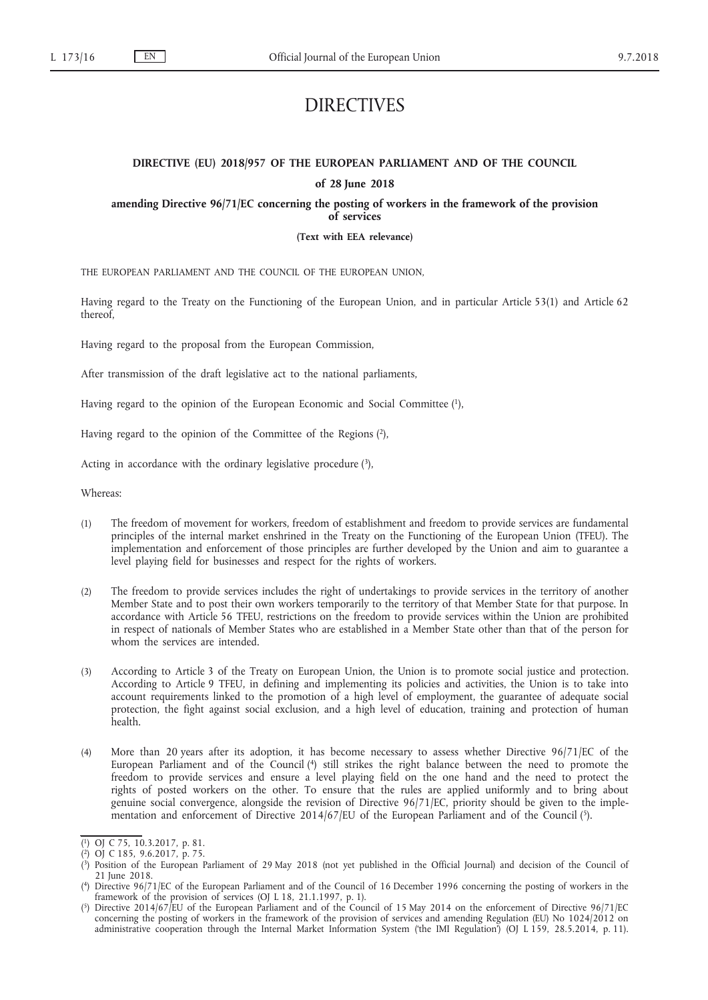# DIRECTIVES

# **DIRECTIVE (EU) 2018/957 OF THE EUROPEAN PARLIAMENT AND OF THE COUNCIL of 28 June 2018**

**amending Directive 96/71/EC concerning the posting of workers in the framework of the provision of services**

**(Text with EEA relevance)**

THE EUROPEAN PARLIAMENT AND THE COUNCIL OF THE EUROPEAN UNION,

Having regard to the Treaty on the Functioning of the European Union, and in particular Article 53(1) and Article 62 thereof,

Having regard to the proposal from the European Commission,

After transmission of the draft legislative act to the national parliaments,

Having regard to the opinion of the European Economic and Social Committee (1),

Having regard to the opinion of the Committee of the Regions (2),

Acting in accordance with the ordinary legislative procedure  $(3)$ ,

Whereas:

- (1) The freedom of movement for workers, freedom of establishment and freedom to provide services are fundamental principles of the internal market enshrined in the Treaty on the Functioning of the European Union (TFEU). The implementation and enforcement of those principles are further developed by the Union and aim to guarantee a level playing field for businesses and respect for the rights of workers.
- (2) The freedom to provide services includes the right of undertakings to provide services in the territory of another Member State and to post their own workers temporarily to the territory of that Member State for that purpose. In accordance with Article 56 TFEU, restrictions on the freedom to provide services within the Union are prohibited in respect of nationals of Member States who are established in a Member State other than that of the person for whom the services are intended.
- (3) According to Article 3 of the Treaty on European Union, the Union is to promote social justice and protection. According to Article 9 TFEU, in defining and implementing its policies and activities, the Union is to take into account requirements linked to the promotion of a high level of employment, the guarantee of adequate social protection, the fight against social exclusion, and a high level of education, training and protection of human health.
- (4) More than 20 years after its adoption, it has become necessary to assess whether Directive 96/71/EC of the European Parliament and of the Council (4) still strikes the right balance between the need to promote the freedom to provide services and ensure a level playing field on the one hand and the need to protect the rights of posted workers on the other. To ensure that the rules are applied uniformly and to bring about genuine social convergence, alongside the revision of Directive 96/71/EC, priority should be given to the implementation and enforcement of Directive 2014/67/EU of the European Parliament and of the Council (5).

<sup>(</sup> 1) OJ C 75, 10.3.2017, p. 81.

<sup>(</sup> 2) OJ C 185, 9.6.2017, p. 75.

<sup>(</sup> 3) Position of the European Parliament of 29 May 2018 (not yet published in the Official Journal) and decision of the Council of 21 June 2018.

<sup>(</sup> 4) Directive 96/71/EC of the European Parliament and of the Council of 16 December 1996 concerning the posting of workers in the framework of the provision of services (OJ L 18, 21.1.1997, p. 1).

<sup>(</sup> 5) Directive 2014/67/EU of the European Parliament and of the Council of 15 May 2014 on the enforcement of Directive 96/71/EC concerning the posting of workers in the framework of the provision of services and amending Regulation (EU) No 1024/2012 on administrative cooperation through the Internal Market Information System ('the IMI Regulation') (OJ L 159, 28.5.2014, p. 11).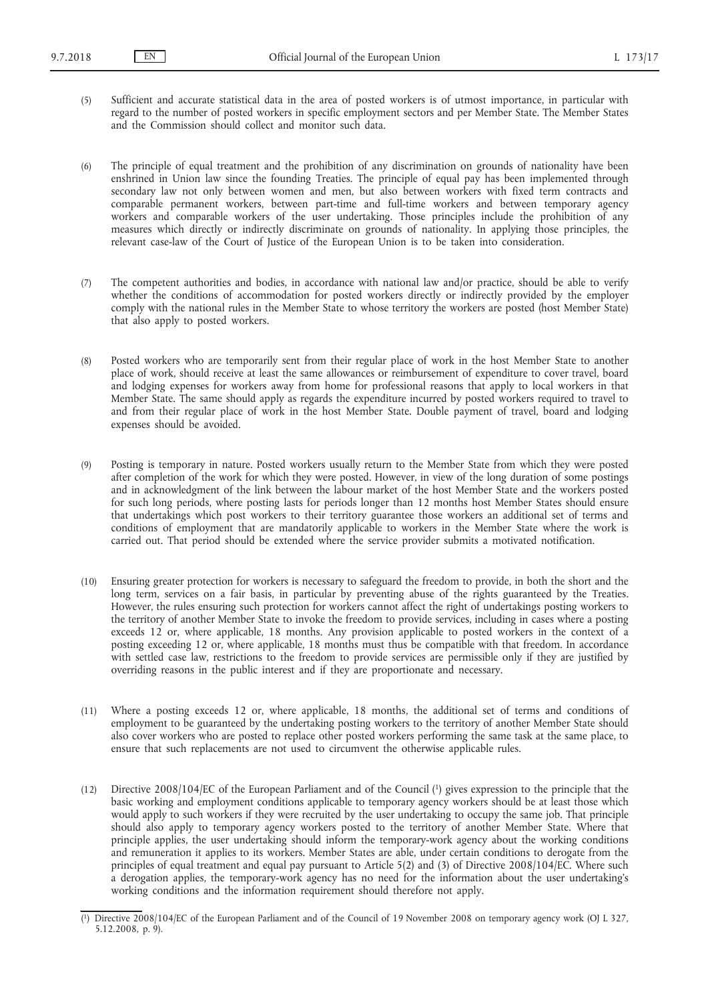(5) Sufficient and accurate statistical data in the area of posted workers is of utmost importance, in particular with regard to the number of posted workers in specific employment sectors and per Member State. The Member States and the Commission should collect and monitor such data.

(6) The principle of equal treatment and the prohibition of any discrimination on grounds of nationality have been enshrined in Union law since the founding Treaties. The principle of equal pay has been implemented through secondary law not only between women and men, but also between workers with fixed term contracts and comparable permanent workers, between part-time and full-time workers and between temporary agency workers and comparable workers of the user undertaking. Those principles include the prohibition of any measures which directly or indirectly discriminate on grounds of nationality. In applying those principles, the relevant case-law of the Court of Justice of the European Union is to be taken into consideration.

- (7) The competent authorities and bodies, in accordance with national law and/or practice, should be able to verify whether the conditions of accommodation for posted workers directly or indirectly provided by the employer comply with the national rules in the Member State to whose territory the workers are posted (host Member State) that also apply to posted workers.
- (8) Posted workers who are temporarily sent from their regular place of work in the host Member State to another place of work, should receive at least the same allowances or reimbursement of expenditure to cover travel, board and lodging expenses for workers away from home for professional reasons that apply to local workers in that Member State. The same should apply as regards the expenditure incurred by posted workers required to travel to and from their regular place of work in the host Member State. Double payment of travel, board and lodging expenses should be avoided.
- (9) Posting is temporary in nature. Posted workers usually return to the Member State from which they were posted after completion of the work for which they were posted. However, in view of the long duration of some postings and in acknowledgment of the link between the labour market of the host Member State and the workers posted for such long periods, where posting lasts for periods longer than 12 months host Member States should ensure that undertakings which post workers to their territory guarantee those workers an additional set of terms and conditions of employment that are mandatorily applicable to workers in the Member State where the work is carried out. That period should be extended where the service provider submits a motivated notification.
- (10) Ensuring greater protection for workers is necessary to safeguard the freedom to provide, in both the short and the long term, services on a fair basis, in particular by preventing abuse of the rights guaranteed by the Treaties. However, the rules ensuring such protection for workers cannot affect the right of undertakings posting workers to the territory of another Member State to invoke the freedom to provide services, including in cases where a posting exceeds 12 or, where applicable, 18 months. Any provision applicable to posted workers in the context of a posting exceeding 12 or, where applicable, 18 months must thus be compatible with that freedom. In accordance with settled case law, restrictions to the freedom to provide services are permissible only if they are justified by overriding reasons in the public interest and if they are proportionate and necessary.
- (11) Where a posting exceeds 12 or, where applicable, 18 months, the additional set of terms and conditions of employment to be guaranteed by the undertaking posting workers to the territory of another Member State should also cover workers who are posted to replace other posted workers performing the same task at the same place, to ensure that such replacements are not used to circumvent the otherwise applicable rules.
- (12) Directive 2008/104/EC of the European Parliament and of the Council (1) gives expression to the principle that the basic working and employment conditions applicable to temporary agency workers should be at least those which would apply to such workers if they were recruited by the user undertaking to occupy the same job. That principle should also apply to temporary agency workers posted to the territory of another Member State. Where that principle applies, the user undertaking should inform the temporary-work agency about the working conditions and remuneration it applies to its workers. Member States are able, under certain conditions to derogate from the principles of equal treatment and equal pay pursuant to Article 5(2) and (3) of Directive 2008/104/EC. Where such a derogation applies, the temporary-work agency has no need for the information about the user undertaking's working conditions and the information requirement should therefore not apply.

<sup>(</sup> 1) Directive 2008/104/EC of the European Parliament and of the Council of 19 November 2008 on temporary agency work (OJ L 327, 5.12.2008, p. 9).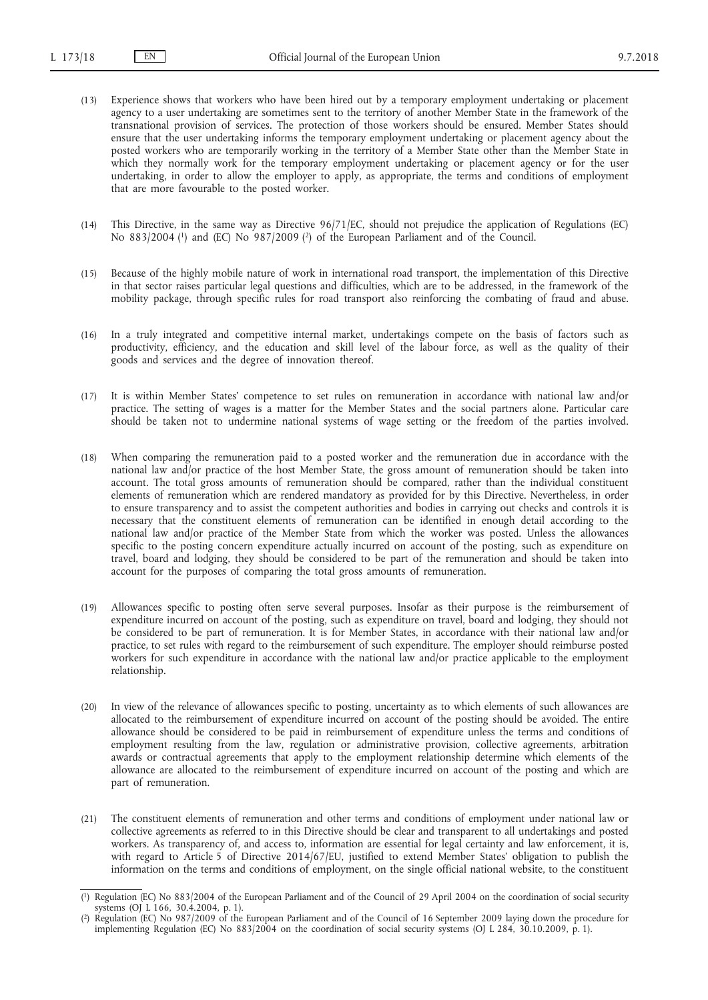- (13) Experience shows that workers who have been hired out by a temporary employment undertaking or placement agency to a user undertaking are sometimes sent to the territory of another Member State in the framework of the transnational provision of services. The protection of those workers should be ensured. Member States should ensure that the user undertaking informs the temporary employment undertaking or placement agency about the posted workers who are temporarily working in the territory of a Member State other than the Member State in which they normally work for the temporary employment undertaking or placement agency or for the user undertaking, in order to allow the employer to apply, as appropriate, the terms and conditions of employment that are more favourable to the posted worker.
- (14) This Directive, in the same way as Directive 96/71/EC, should not prejudice the application of Regulations (EC) No 883/2004 (1) and (EC) No 987/2009 (2) of the European Parliament and of the Council.
- (15) Because of the highly mobile nature of work in international road transport, the implementation of this Directive in that sector raises particular legal questions and difficulties, which are to be addressed, in the framework of the mobility package, through specific rules for road transport also reinforcing the combating of fraud and abuse.
- (16) In a truly integrated and competitive internal market, undertakings compete on the basis of factors such as productivity, efficiency, and the education and skill level of the labour force, as well as the quality of their goods and services and the degree of innovation thereof.
- (17) It is within Member States' competence to set rules on remuneration in accordance with national law and/or practice. The setting of wages is a matter for the Member States and the social partners alone. Particular care should be taken not to undermine national systems of wage setting or the freedom of the parties involved.
- (18) When comparing the remuneration paid to a posted worker and the remuneration due in accordance with the national law and/or practice of the host Member State, the gross amount of remuneration should be taken into account. The total gross amounts of remuneration should be compared, rather than the individual constituent elements of remuneration which are rendered mandatory as provided for by this Directive. Nevertheless, in order to ensure transparency and to assist the competent authorities and bodies in carrying out checks and controls it is necessary that the constituent elements of remuneration can be identified in enough detail according to the national law and/or practice of the Member State from which the worker was posted. Unless the allowances specific to the posting concern expenditure actually incurred on account of the posting, such as expenditure on travel, board and lodging, they should be considered to be part of the remuneration and should be taken into account for the purposes of comparing the total gross amounts of remuneration.
- (19) Allowances specific to posting often serve several purposes. Insofar as their purpose is the reimbursement of expenditure incurred on account of the posting, such as expenditure on travel, board and lodging, they should not be considered to be part of remuneration. It is for Member States, in accordance with their national law and/or practice, to set rules with regard to the reimbursement of such expenditure. The employer should reimburse posted workers for such expenditure in accordance with the national law and/or practice applicable to the employment relationship.
- (20) In view of the relevance of allowances specific to posting, uncertainty as to which elements of such allowances are allocated to the reimbursement of expenditure incurred on account of the posting should be avoided. The entire allowance should be considered to be paid in reimbursement of expenditure unless the terms and conditions of employment resulting from the law, regulation or administrative provision, collective agreements, arbitration awards or contractual agreements that apply to the employment relationship determine which elements of the allowance are allocated to the reimbursement of expenditure incurred on account of the posting and which are part of remuneration.
- (21) The constituent elements of remuneration and other terms and conditions of employment under national law or collective agreements as referred to in this Directive should be clear and transparent to all undertakings and posted workers. As transparency of, and access to, information are essential for legal certainty and law enforcement, it is, with regard to Article 5 of Directive 2014/67/EU, justified to extend Member States' obligation to publish the information on the terms and conditions of employment, on the single official national website, to the constituent

<sup>(</sup> 1) Regulation (EC) No 883/2004 of the European Parliament and of the Council of 29 April 2004 on the coordination of social security systems (OJ L 166, 30.4.2004, p. 1).

<sup>(</sup> 2) Regulation (EC) No 987/2009 of the European Parliament and of the Council of 16 September 2009 laying down the procedure for implementing Regulation (EC) No 883/2004 on the coordination of social security systems (OJ L 284, 30.10.2009, p. 1).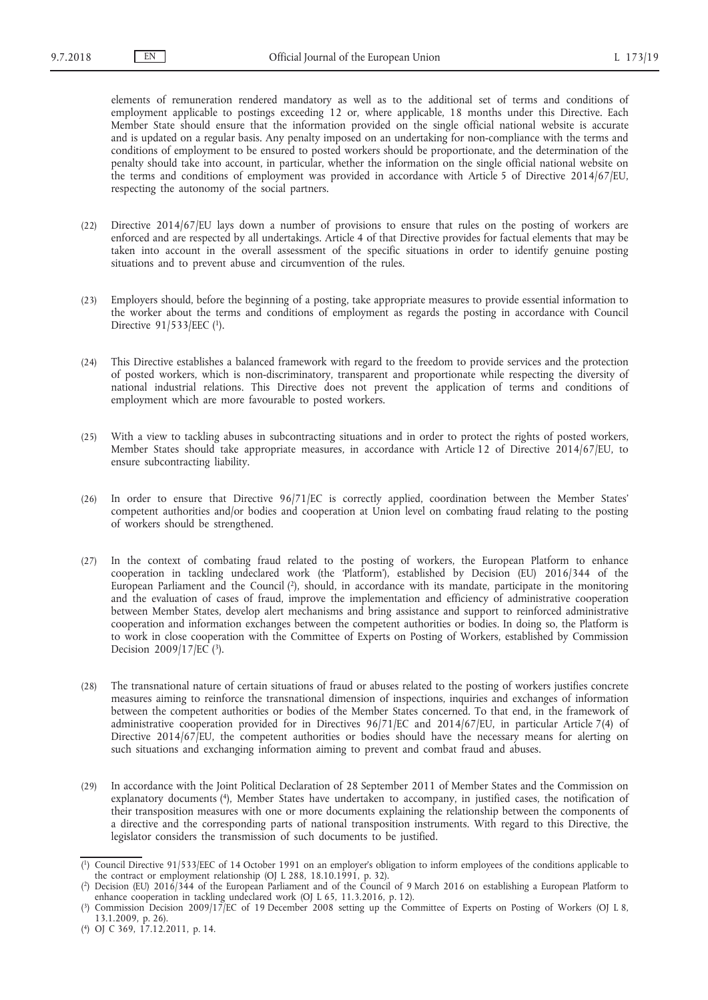elements of remuneration rendered mandatory as well as to the additional set of terms and conditions of employment applicable to postings exceeding 12 or, where applicable, 18 months under this Directive. Each Member State should ensure that the information provided on the single official national website is accurate and is updated on a regular basis. Any penalty imposed on an undertaking for non-compliance with the terms and conditions of employment to be ensured to posted workers should be proportionate, and the determination of the penalty should take into account, in particular, whether the information on the single official national website on the terms and conditions of employment was provided in accordance with Article 5 of Directive 2014/67/EU, respecting the autonomy of the social partners.

- (22) Directive 2014/67/EU lays down a number of provisions to ensure that rules on the posting of workers are enforced and are respected by all undertakings. Article 4 of that Directive provides for factual elements that may be taken into account in the overall assessment of the specific situations in order to identify genuine posting situations and to prevent abuse and circumvention of the rules.
- (23) Employers should, before the beginning of a posting, take appropriate measures to provide essential information to the worker about the terms and conditions of employment as regards the posting in accordance with Council Directive 91/533/EEC (1).
- (24) This Directive establishes a balanced framework with regard to the freedom to provide services and the protection of posted workers, which is non-discriminatory, transparent and proportionate while respecting the diversity of national industrial relations. This Directive does not prevent the application of terms and conditions of employment which are more favourable to posted workers.
- (25) With a view to tackling abuses in subcontracting situations and in order to protect the rights of posted workers, Member States should take appropriate measures, in accordance with Article 12 of Directive 2014/67/EU, to ensure subcontracting liability.
- (26) In order to ensure that Directive 96/71/EC is correctly applied, coordination between the Member States' competent authorities and/or bodies and cooperation at Union level on combating fraud relating to the posting of workers should be strengthened.
- (27) In the context of combating fraud related to the posting of workers, the European Platform to enhance cooperation in tackling undeclared work (the 'Platform'), established by Decision (EU) 2016/344 of the European Parliament and the Council (2), should, in accordance with its mandate, participate in the monitoring and the evaluation of cases of fraud, improve the implementation and efficiency of administrative cooperation between Member States, develop alert mechanisms and bring assistance and support to reinforced administrative cooperation and information exchanges between the competent authorities or bodies. In doing so, the Platform is to work in close cooperation with the Committee of Experts on Posting of Workers, established by Commission Decision 2009/17/EC (3).
- (28) The transnational nature of certain situations of fraud or abuses related to the posting of workers justifies concrete measures aiming to reinforce the transnational dimension of inspections, inquiries and exchanges of information between the competent authorities or bodies of the Member States concerned. To that end, in the framework of administrative cooperation provided for in Directives 96/71/EC and 2014/67/EU, in particular Article 7(4) of Directive 2014/67/EU, the competent authorities or bodies should have the necessary means for alerting on such situations and exchanging information aiming to prevent and combat fraud and abuses.
- (29) In accordance with the Joint Political Declaration of 28 September 2011 of Member States and the Commission on explanatory documents (4), Member States have undertaken to accompany, in justified cases, the notification of their transposition measures with one or more documents explaining the relationship between the components of a directive and the corresponding parts of national transposition instruments. With regard to this Directive, the legislator considers the transmission of such documents to be justified.

<sup>(</sup> 1) Council Directive 91/533/EEC of 14 October 1991 on an employer's obligation to inform employees of the conditions applicable to the contract or employment relationship (OJ L 288, 18.10.1991, p. 32).

<sup>(</sup> 2) Decision (EU) 2016/344 of the European Parliament and of the Council of 9 March 2016 on establishing a European Platform to enhance cooperation in tackling undeclared work (OJ L 65, 11.3.2016, p. 12).

<sup>(</sup> 3) Commission Decision 2009/17/EC of 19 December 2008 setting up the Committee of Experts on Posting of Workers (OJ L 8, 13.1.2009, p. 26).

<sup>(</sup> 4) OJ C 369, 17.12.2011, p. 14.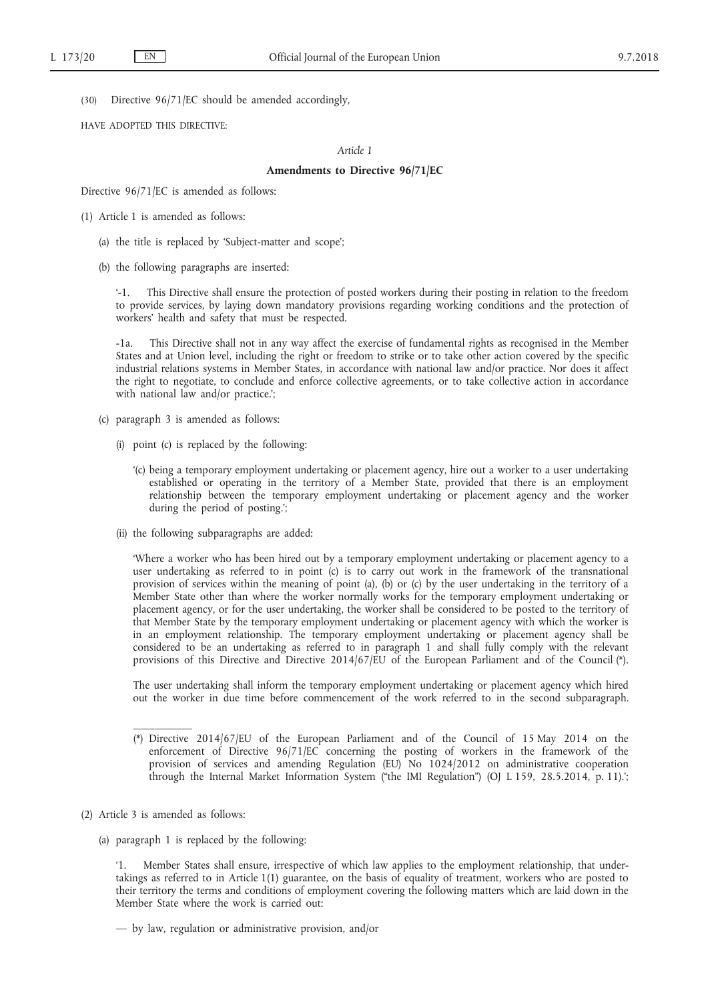(30) Directive 96/71/EC should be amended accordingly,

HAVE ADOPTED THIS DIRECTIVE:

## *Article 1*

#### **Amendments to Directive 96/71/EC**

Directive 96/71/EC is amended as follows:

- (1) Article 1 is amended as follows:
	- (a) the title is replaced by 'Subject-matter and scope';
	- (b) the following paragraphs are inserted:

This Directive shall ensure the protection of posted workers during their posting in relation to the freedom to provide services, by laying down mandatory provisions regarding working conditions and the protection of workers' health and safety that must be respected.

-1a. This Directive shall not in any way affect the exercise of fundamental rights as recognised in the Member States and at Union level, including the right or freedom to strike or to take other action covered by the specific industrial relations systems in Member States, in accordance with national law and/or practice. Nor does it affect the right to negotiate, to conclude and enforce collective agreements, or to take collective action in accordance with national law and/or practice.';

- (c) paragraph 3 is amended as follows:
	- (i) point (c) is replaced by the following:
		- '(c) being a temporary employment undertaking or placement agency, hire out a worker to a user undertaking established or operating in the territory of a Member State, provided that there is an employment relationship between the temporary employment undertaking or placement agency and the worker during the period of posting.';
	- (ii) the following subparagraphs are added:

'Where a worker who has been hired out by a temporary employment undertaking or placement agency to a user undertaking as referred to in point (c) is to carry out work in the framework of the transnational provision of services within the meaning of point (a), (b) or (c) by the user undertaking in the territory of a Member State other than where the worker normally works for the temporary employment undertaking or placement agency, or for the user undertaking, the worker shall be considered to be posted to the territory of that Member State by the temporary employment undertaking or placement agency with which the worker is in an employment relationship. The temporary employment undertaking or placement agency shall be considered to be an undertaking as referred to in paragraph 1 and shall fully comply with the relevant provisions of this Directive and Directive 2014/67/EU of the European Parliament and of the Council (\*).

The user undertaking shall inform the temporary employment undertaking or placement agency which hired out the worker in due time before commencement of the work referred to in the second subparagraph.

- (\*) Directive 2014/67/EU of the European Parliament and of the Council of 15 May 2014 on the enforcement of Directive 96/71/EC concerning the posting of workers in the framework of the provision of services and amending Regulation (EU) No 1024/2012 on administrative cooperation through the Internal Market Information System ("the IMI Regulation") (OJ L 159, 28.5.2014, p. 11).';
- (2) Article 3 is amended as follows:
	- (a) paragraph 1 is replaced by the following:

'1. Member States shall ensure, irrespective of which law applies to the employment relationship, that undertakings as referred to in Article 1(1) guarantee, on the basis of equality of treatment, workers who are posted to their territory the terms and conditions of employment covering the following matters which are laid down in the Member State where the work is carried out:

<sup>—</sup> by law, regulation or administrative provision, and/or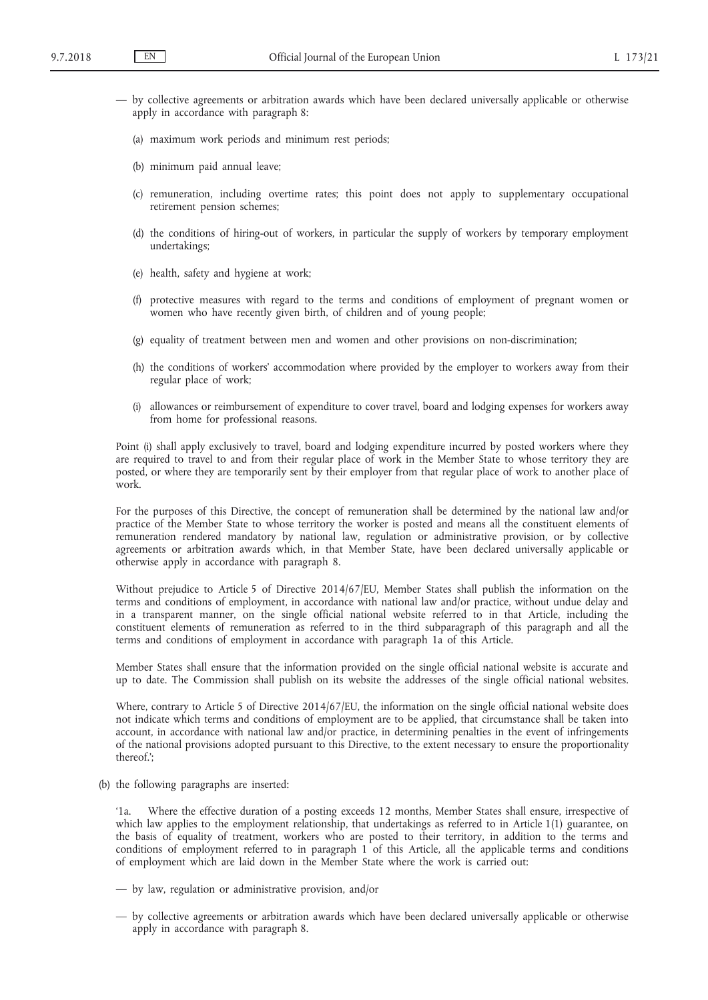- by collective agreements or arbitration awards which have been declared universally applicable or otherwise apply in accordance with paragraph 8:
	- (a) maximum work periods and minimum rest periods;
	- (b) minimum paid annual leave;
	- (c) remuneration, including overtime rates; this point does not apply to supplementary occupational retirement pension schemes;
	- (d) the conditions of hiring-out of workers, in particular the supply of workers by temporary employment undertakings;
	- (e) health, safety and hygiene at work;
	- (f) protective measures with regard to the terms and conditions of employment of pregnant women or women who have recently given birth, of children and of young people;
	- (g) equality of treatment between men and women and other provisions on non-discrimination;
	- (h) the conditions of workers' accommodation where provided by the employer to workers away from their regular place of work;
	- (i) allowances or reimbursement of expenditure to cover travel, board and lodging expenses for workers away from home for professional reasons.

Point (i) shall apply exclusively to travel, board and lodging expenditure incurred by posted workers where they are required to travel to and from their regular place of work in the Member State to whose territory they are posted, or where they are temporarily sent by their employer from that regular place of work to another place of work.

For the purposes of this Directive, the concept of remuneration shall be determined by the national law and/or practice of the Member State to whose territory the worker is posted and means all the constituent elements of remuneration rendered mandatory by national law, regulation or administrative provision, or by collective agreements or arbitration awards which, in that Member State, have been declared universally applicable or otherwise apply in accordance with paragraph 8.

Without prejudice to Article 5 of Directive 2014/67/EU, Member States shall publish the information on the terms and conditions of employment, in accordance with national law and/or practice, without undue delay and in a transparent manner, on the single official national website referred to in that Article, including the constituent elements of remuneration as referred to in the third subparagraph of this paragraph and all the terms and conditions of employment in accordance with paragraph 1a of this Article.

Member States shall ensure that the information provided on the single official national website is accurate and up to date. The Commission shall publish on its website the addresses of the single official national websites.

Where, contrary to Article 5 of Directive 2014/67/EU, the information on the single official national website does not indicate which terms and conditions of employment are to be applied, that circumstance shall be taken into account, in accordance with national law and/or practice, in determining penalties in the event of infringements of the national provisions adopted pursuant to this Directive, to the extent necessary to ensure the proportionality thereof.';

(b) the following paragraphs are inserted:

'1a. Where the effective duration of a posting exceeds 12 months, Member States shall ensure, irrespective of which law applies to the employment relationship, that undertakings as referred to in Article 1(1) guarantee, on the basis of equality of treatment, workers who are posted to their territory, in addition to the terms and conditions of employment referred to in paragraph 1 of this Article, all the applicable terms and conditions of employment which are laid down in the Member State where the work is carried out:

- by law, regulation or administrative provision, and/or
- by collective agreements or arbitration awards which have been declared universally applicable or otherwise apply in accordance with paragraph 8.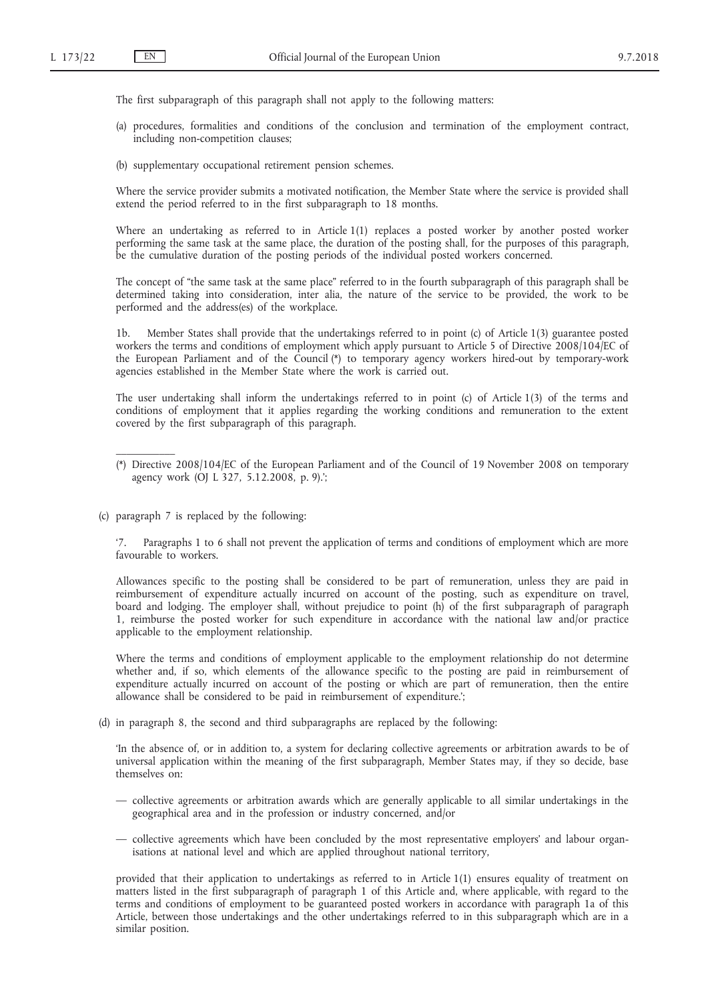The first subparagraph of this paragraph shall not apply to the following matters:

- (a) procedures, formalities and conditions of the conclusion and termination of the employment contract, including non-competition clauses;
- (b) supplementary occupational retirement pension schemes.

Where the service provider submits a motivated notification, the Member State where the service is provided shall extend the period referred to in the first subparagraph to 18 months.

Where an undertaking as referred to in Article 1(1) replaces a posted worker by another posted worker performing the same task at the same place, the duration of the posting shall, for the purposes of this paragraph, be the cumulative duration of the posting periods of the individual posted workers concerned.

The concept of "the same task at the same place" referred to in the fourth subparagraph of this paragraph shall be determined taking into consideration, inter alia, the nature of the service to be provided, the work to be performed and the address(es) of the workplace.

1b. Member States shall provide that the undertakings referred to in point (c) of Article 1(3) guarantee posted workers the terms and conditions of employment which apply pursuant to Article 5 of Directive 2008/104/EC of the European Parliament and of the Council (\*) to temporary agency workers hired-out by temporary-work agencies established in the Member State where the work is carried out.

The user undertaking shall inform the undertakings referred to in point (c) of Article 1(3) of the terms and conditions of employment that it applies regarding the working conditions and remuneration to the extent covered by the first subparagraph of this paragraph.

(c) paragraph 7 is replaced by the following:

 $\mathcal{L}=\mathcal{L}$ 

'7. Paragraphs 1 to 6 shall not prevent the application of terms and conditions of employment which are more favourable to workers.

Allowances specific to the posting shall be considered to be part of remuneration, unless they are paid in reimbursement of expenditure actually incurred on account of the posting, such as expenditure on travel, board and lodging. The employer shall, without prejudice to point (h) of the first subparagraph of paragraph 1, reimburse the posted worker for such expenditure in accordance with the national law and/or practice applicable to the employment relationship.

Where the terms and conditions of employment applicable to the employment relationship do not determine whether and, if so, which elements of the allowance specific to the posting are paid in reimbursement of expenditure actually incurred on account of the posting or which are part of remuneration, then the entire allowance shall be considered to be paid in reimbursement of expenditure.';

(d) in paragraph 8, the second and third subparagraphs are replaced by the following:

'In the absence of, or in addition to, a system for declaring collective agreements or arbitration awards to be of universal application within the meaning of the first subparagraph, Member States may, if they so decide, base themselves on:

- collective agreements or arbitration awards which are generally applicable to all similar undertakings in the geographical area and in the profession or industry concerned, and/or
- collective agreements which have been concluded by the most representative employers' and labour organisations at national level and which are applied throughout national territory,

provided that their application to undertakings as referred to in Article 1(1) ensures equality of treatment on matters listed in the first subparagraph of paragraph 1 of this Article and, where applicable, with regard to the terms and conditions of employment to be guaranteed posted workers in accordance with paragraph 1a of this Article, between those undertakings and the other undertakings referred to in this subparagraph which are in a similar position.

<sup>(\*)</sup> Directive 2008/104/EC of the European Parliament and of the Council of 19 November 2008 on temporary agency work (OJ L 327, 5.12.2008, p. 9).';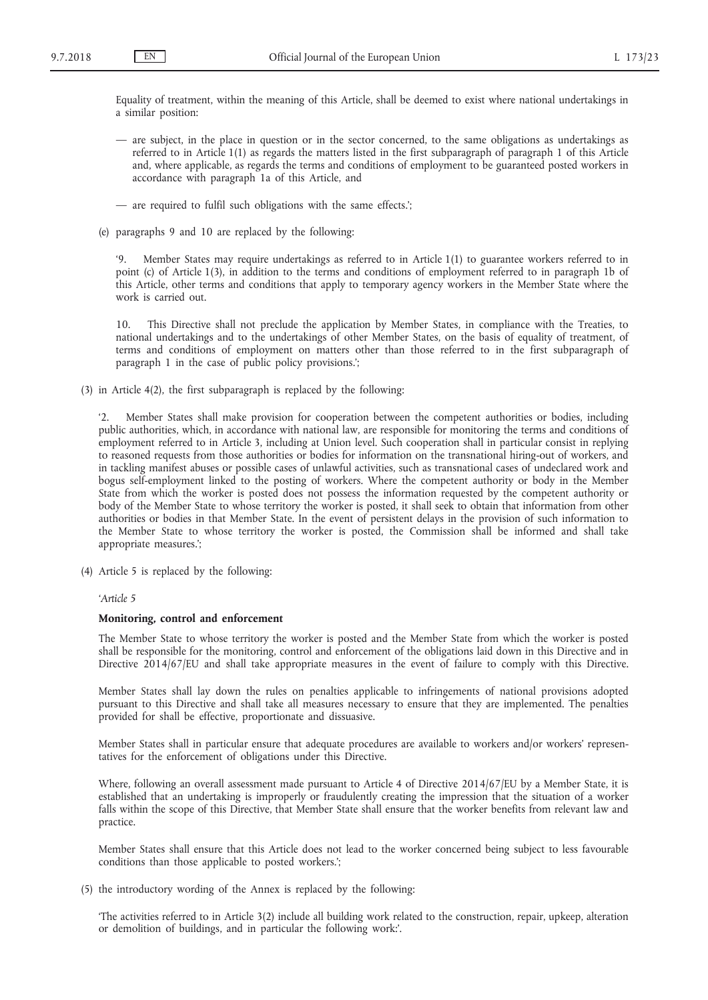Equality of treatment, within the meaning of this Article, shall be deemed to exist where national undertakings in a similar position:

- are subject, in the place in question or in the sector concerned, to the same obligations as undertakings as referred to in Article 1(1) as regards the matters listed in the first subparagraph of paragraph 1 of this Article and, where applicable, as regards the terms and conditions of employment to be guaranteed posted workers in accordance with paragraph 1a of this Article, and
- are required to fulfil such obligations with the same effects.';
- (e) paragraphs 9 and 10 are replaced by the following:

'9. Member States may require undertakings as referred to in Article 1(1) to guarantee workers referred to in point (c) of Article 1(3), in addition to the terms and conditions of employment referred to in paragraph 1b of this Article, other terms and conditions that apply to temporary agency workers in the Member State where the work is carried out.

10. This Directive shall not preclude the application by Member States, in compliance with the Treaties, to national undertakings and to the undertakings of other Member States, on the basis of equality of treatment, of terms and conditions of employment on matters other than those referred to in the first subparagraph of paragraph 1 in the case of public policy provisions.';

(3) in Article 4(2), the first subparagraph is replaced by the following:

'2. Member States shall make provision for cooperation between the competent authorities or bodies, including public authorities, which, in accordance with national law, are responsible for monitoring the terms and conditions of employment referred to in Article 3, including at Union level. Such cooperation shall in particular consist in replying to reasoned requests from those authorities or bodies for information on the transnational hiring-out of workers, and in tackling manifest abuses or possible cases of unlawful activities, such as transnational cases of undeclared work and bogus self-employment linked to the posting of workers. Where the competent authority or body in the Member State from which the worker is posted does not possess the information requested by the competent authority or body of the Member State to whose territory the worker is posted, it shall seek to obtain that information from other authorities or bodies in that Member State. In the event of persistent delays in the provision of such information to the Member State to whose territory the worker is posted, the Commission shall be informed and shall take appropriate measures.';

(4) Article 5 is replaced by the following:

#### *'Article 5*

#### **Monitoring, control and enforcement**

The Member State to whose territory the worker is posted and the Member State from which the worker is posted shall be responsible for the monitoring, control and enforcement of the obligations laid down in this Directive and in Directive 2014/67/EU and shall take appropriate measures in the event of failure to comply with this Directive.

Member States shall lay down the rules on penalties applicable to infringements of national provisions adopted pursuant to this Directive and shall take all measures necessary to ensure that they are implemented. The penalties provided for shall be effective, proportionate and dissuasive.

Member States shall in particular ensure that adequate procedures are available to workers and/or workers' representatives for the enforcement of obligations under this Directive.

Where, following an overall assessment made pursuant to Article 4 of Directive 2014/67/EU by a Member State, it is established that an undertaking is improperly or fraudulently creating the impression that the situation of a worker falls within the scope of this Directive, that Member State shall ensure that the worker benefits from relevant law and practice.

Member States shall ensure that this Article does not lead to the worker concerned being subject to less favourable conditions than those applicable to posted workers.';

(5) the introductory wording of the Annex is replaced by the following:

'The activities referred to in Article 3(2) include all building work related to the construction, repair, upkeep, alteration or demolition of buildings, and in particular the following work:'.